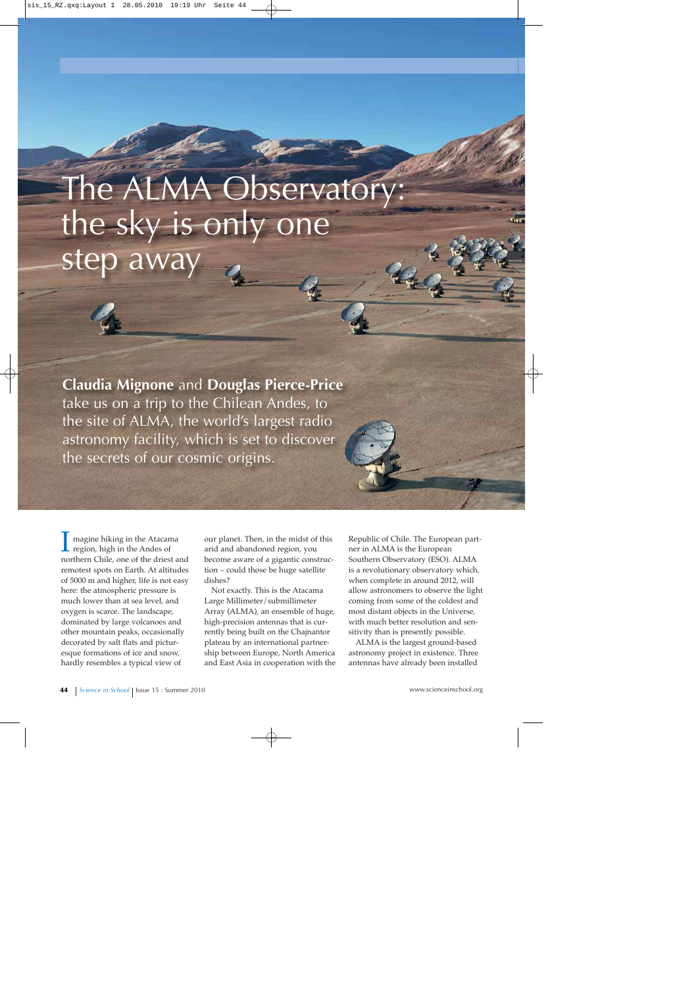# The ALMA Observatory: the sky is only one step away

**Claudia Mignone** and **Douglas Pierce-Price** take us on a trip to the Chilean Andes, to the site of ALMA, the world's largest radio astronomy facility, which is set to discover the secrets of our cosmic origins.

magine hiking in the Atacama region, high in the Andes of northern Chile, one of the driest and remotest spots on Earth. At altitudes of 5000 m and higher, life is not easy here: the atmospheric pressure is much lower than at sea level, and oxygen is scarce. The landscape, dominated by large volcanoes and other mountain peaks, occasionally decorated by salt flats and picturesque formations of ice and snow, hardly resembles a typical view of

our planet. Then, in the midst of this arid and abandoned region, you become aware of a gigantic construction – could those be huge satellite dishes?

Not exactly. This is the Atacama Large Millimeter/submillimeter Array (ALMA), an ensemble of huge, high-precision antennas that is currently being built on the Chajnantor plateau by an international partnership between Europe, North America and East Asia in cooperation with the

Republic of Chile. The European partner in ALMA is the European Southern Observatory (ESO). ALMA is a revolutionary observatory which, when complete in around 2012, will allow astronomers to observe the light coming from some of the coldest and most distant objects in the Universe, with much better resolution and sensitivity than is presently possible.

ALMA is the largest ground-based astronomy project in existence. Three antennas have already been installed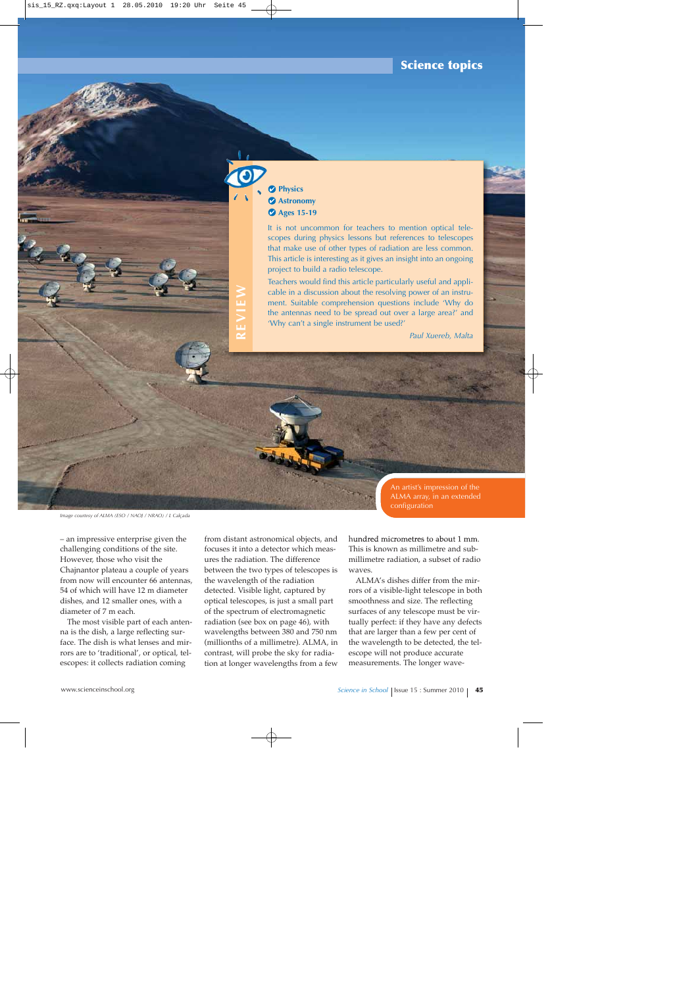### **Science topics**

## **Physics Astronomy Ages 15-19**

**REVIEW**

It is not uncommon for teachers to mention optical telescopes during physics lessons but references to telescopes that make use of other types of radiation are less common. This article is interesting as it gives an insight into an ongoing project to build a radio telescope.

Teachers would find this article particularly useful and applicable in a discussion about the resolving power of an instrument. Suitable comprehension questions include 'Why do the antennas need to be spread out over a large area?' and 'Why can't a single instrument be used?'

*Paul Xuereb, Malta*

ALMA array, in an extended configuration

*Image courtesy of ALMA (ESO / NAOJ / NRAO) / L Calçada*

– an impressive enterprise given the challenging conditions of the site. However, those who visit the Chajnantor plateau a couple of years from now will encounter 66 antennas, 54 of which will have 12 m diameter dishes, and 12 smaller ones, with a diameter of 7 m each.

The most visible part of each antenna is the dish, a large reflecting surface. The dish is what lenses and mirrors are to 'traditional', or optical, telescopes: it collects radiation coming

from distant astronomical objects, and focuses it into a detector which measures the radiation. The difference between the two types of telescopes is the wavelength of the radiation detected. Visible light, captured by optical telescopes, is just a small part of the spectrum of electromagnetic radiation (see box on page 46), with wavelengths between 380 and 750 nm (millionths of a millimetre). ALMA, in contrast, will probe the sky for radiation at longer wavelengths from a few hundred micrometres to about 1 mm. This is known as millimetre and submillimetre radiation, a subset of radio waves.

An artist's impression of the

ALMA's dishes differ from the mirrors of a visible-light telescope in both smoothness and size. The reflecting surfaces of any telescope must be virtually perfect: if they have any defects that are larger than a few per cent of the wavelength to be detected, the telescope will not produce accurate measurements. The longer wave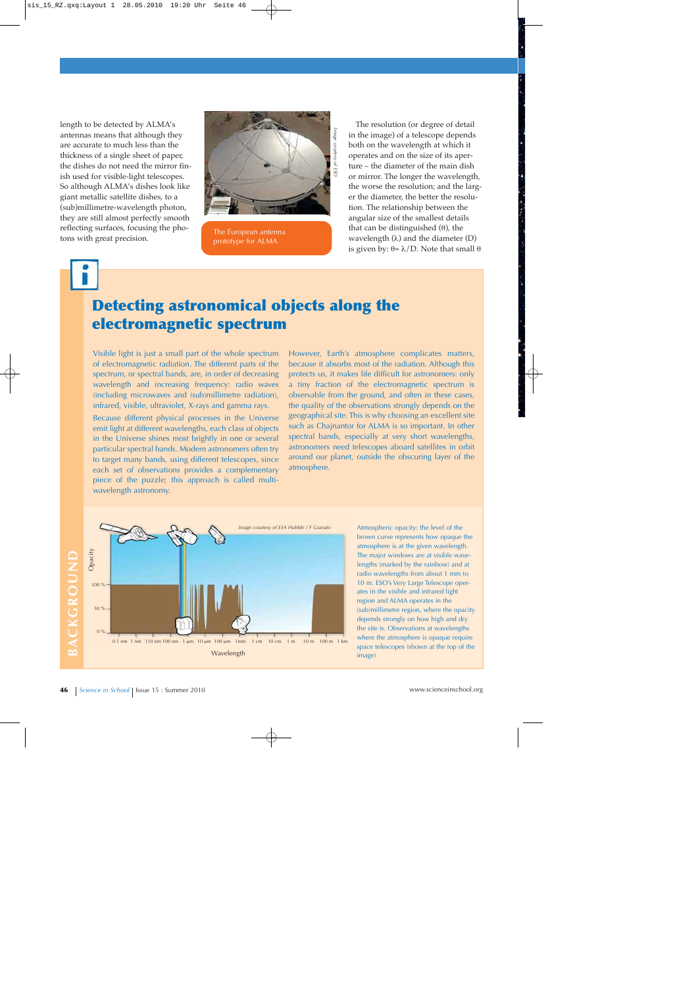length to be detected by ALMA's antennas means that although they are accurate to much less than the thickness of a single sheet of paper, the dishes do not need the mirror finish used for visible-light telescopes. So although ALMA's dishes look like giant metallic satellite dishes, to a (sub)millimetre-wavelength photon, they are still almost perfectly smooth reflecting surfaces, focusing the photons with great precision.



The European antenna prototype for ALMA

The resolution (or degree of detail in the image) of a telescope depends both on the wavelength at which it operates and on the size of its aperture – the diameter of the main dish or mirror. The longer the wavelength, the worse the resolution; and the larger the diameter, the better the resolution. The relationship between the angular size of the smallest details that can be distinguished  $(θ)$ , the wavelength  $(\lambda)$  and the diameter  $(D)$ is given by:  $θ$ ≈ λ/D. Note that small  $θ$ 

# **Detecting astronomical objects along the electromagnetic spectrum**

Visible light is just a small part of the whole spectrum of electromagnetic radiation. The different parts of the spectrum, or spectral bands, are, in order of decreasing wavelength and increasing frequency: radio waves (including microwaves and (sub)millimetre radiation), infrared, visible, ultraviolet, X-rays and gamma rays.

Because different physical processes in the Universe emit light at different wavelengths, each class of objects in the Universe shines most brightly in one or several particular spectral bands. Modern astronomers often try to target many bands, using different telescopes, since each set of observations provides a complementary piece of the puzzle; this approach is called multiwavelength astronomy.

However, Earth's atmosphere complicates matters, because it absorbs most of the radiation. Although this protects us, it makes life difficult for astronomers: only a tiny fraction of the electromagnetic spectrum is observable from the ground, and often in these cases, the quality of the observations strongly depends on the geographical site. This is why choosing an excellent site such as Chajnantor for ALMA is so important. In other spectral bands, especially at very short wavelengths, astronomers need telescopes aboard satellites in orbit around our planet, outside the obscuring layer of the atmosphere.

BACKGROUND **BACKGROUND**



Atmospheric opacity: the level of the brown curve represents how opaque the atmosphere is at the given wavelength. The major windows are at visible wavelengths (marked by the rainbow) and at radio wavelengths from about 1 mm to 10 m. ESO's Very Large Telescope operates in the visible and infrared light region and ALMA operates in the (sub)millimetre region, where the opacity depends strongly on how high and dry the site is. Observations at wavelengths where the atmosphere is opaque require space telescopes (shown at the top of the image)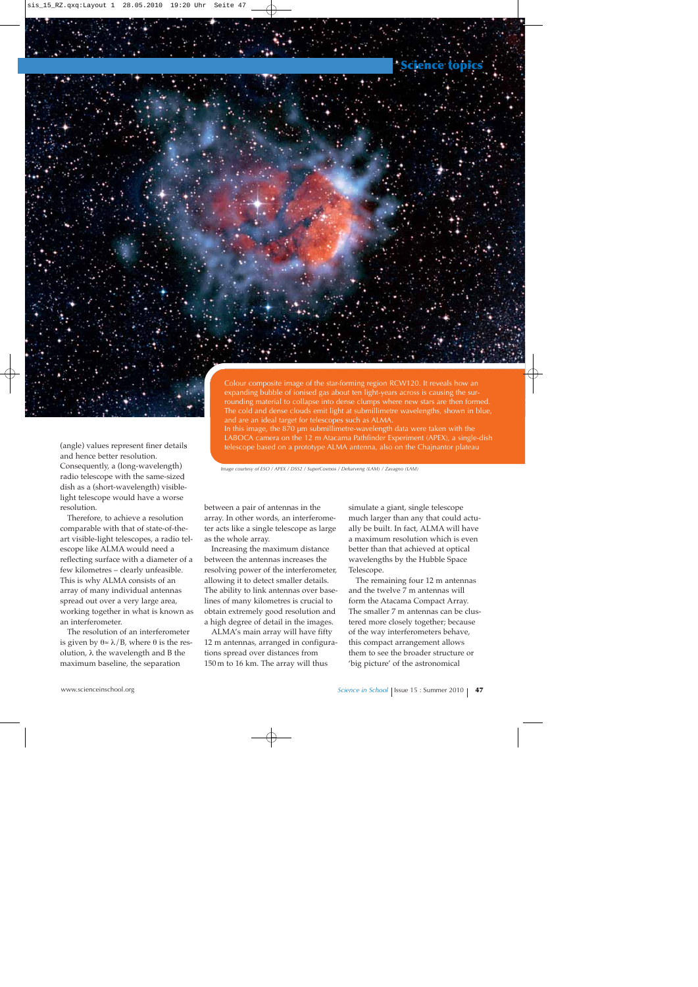

Consequently, a (long-wavelength) radio telescope with the same-sized dish as a (short-wavelength) visiblelight telescope would have a worse resolution.

Therefore, to achieve a resolution comparable with that of state-of-theart visible-light telescopes, a radio telescope like ALMA would need a reflecting surface with a diameter of a few kilometres – clearly unfeasible. This is why ALMA consists of an array of many individual antennas spread out over a very large area, working together in what is known as an interferometer.

The resolution of an interferometer is given by  $θ$ ≈  $λ$ / $B$ , where  $θ$  is the resolution, λ the wavelength and B the maximum baseline, the separation

Colour composite image of the star-forming region RCW120. It reveals how an expanding bubble of ionised gas about ten light-years across is causing the surrounding material to collapse into dense clumps where new stars are then formed. The cold and dense clouds emit light at submillimetre wavelengths, shown in blue, and are an ideal target for telescopes such as ALMA.

In this image, the 870 μm submillimetre-wavelength data were taken with the LABOCA camera on the 12 m Atacama Pathfinder Experiment (APEX), a single-dish telescope based on a prototype ALMA antenna, also on the Chajnantor plateau

*Image courtesy of ESO / APEX / DSS2 / SuperCosmos / Deharveng (LAM) / Zavagno (LAM)*

between a pair of antennas in the array. In other words, an interferometer acts like a single telescope as large as the whole array.

Increasing the maximum distance between the antennas increases the resolving power of the interferometer, allowing it to detect smaller details. The ability to link antennas over baselines of many kilometres is crucial to obtain extremely good resolution and a high degree of detail in the images.

ALMA's main array will have fifty 12 m antennas, arranged in configurations spread over distances from 150 m to 16 km. The array will thus

simulate a giant, single telescope much larger than any that could actually be built. In fact, ALMA will have a maximum resolution which is even better than that achieved at optical wavelengths by the Hubble Space Telescope.

The remaining four 12 m antennas and the twelve 7 m antennas will form the Atacama Compact Array. The smaller 7 m antennas can be clustered more closely together; because of the way interferometers behave, this compact arrangement allows them to see the broader structure or 'big picture' of the astronomical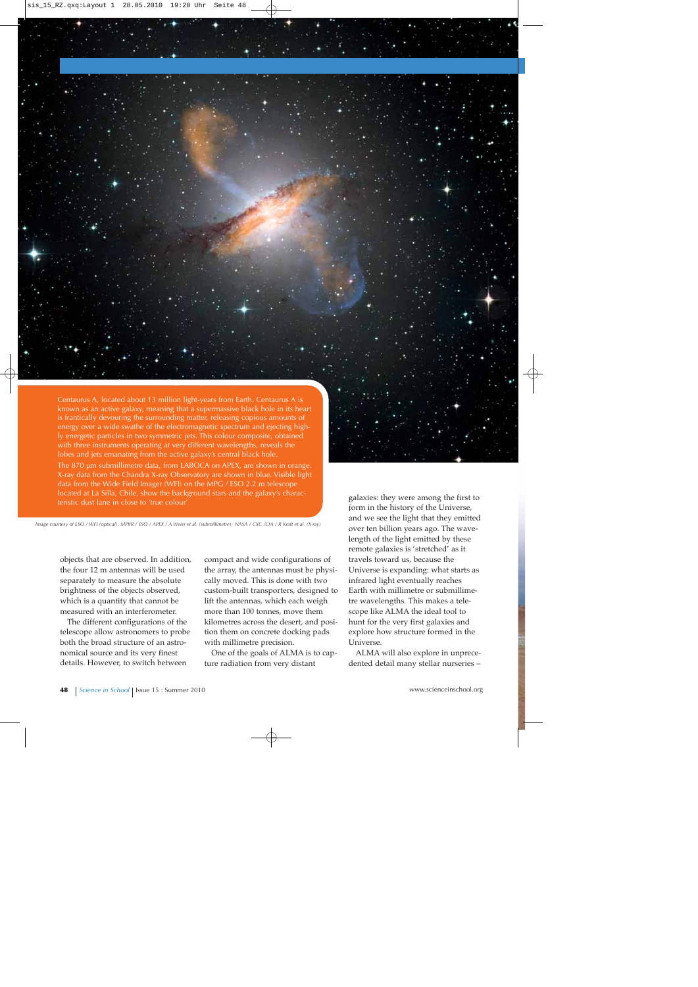

known as an active galaxy, meaning that a supermassive black hole in its heart is frantically devouring the surrounding matter, releasing copious amounts of energy over a wide swathe of the electromagnetic spectrum and ejecting highly energetic particles in two symmetric jets. This colour composite, obtained with three instruments operating at very different wavelengths, reveals the lobes and jets emanating from the active galaxy's central black hole.

The 870 μm submillimetre data, from LABOCA on APEX, are shown in orange. X-ray data from the Chandra X-ray Observatory are shown in blue. Visible light data from the Wide Field Imager (WFI) on the MPG / ESO 2.2 m telescope located at La Silla, Chile, show the background stars and the galaxy's characteristic dust lane in close to 'true colour'

*Image courtesy of ESO / WFI (optical); MPIfR / ESO / APEX / A Weiss et al. (submillimetre); NASA / CXC /CfA / R Kraft et al. (X-ray)*

objects that are observed. In addition, the four 12 m antennas will be used separately to measure the absolute brightness of the objects observed, which is a quantity that cannot be measured with an interferometer.

The different configurations of the telescope allow astronomers to probe both the broad structure of an astronomical source and its very finest details. However, to switch between

compact and wide configurations of the array, the antennas must be physically moved. This is done with two custom-built transporters, designed to lift the antennas, which each weigh more than 100 tonnes, move them kilometres across the desert, and position them on concrete docking pads with millimetre precision.

One of the goals of ALMA is to capture radiation from very distant

galaxies: they were among the first to form in the history of the Universe, and we see the light that they emitted over ten billion years ago. The wavelength of the light emitted by these remote galaxies is 'stretched' as it travels toward us, because the Universe is expanding: what starts as infrared light eventually reaches Earth with millimetre or submillimetre wavelengths. This makes a telescope like ALMA the ideal tool to hunt for the very first galaxies and explore how structure formed in the Universe.

ALMA will also explore in unprecedented detail many stellar nurseries –